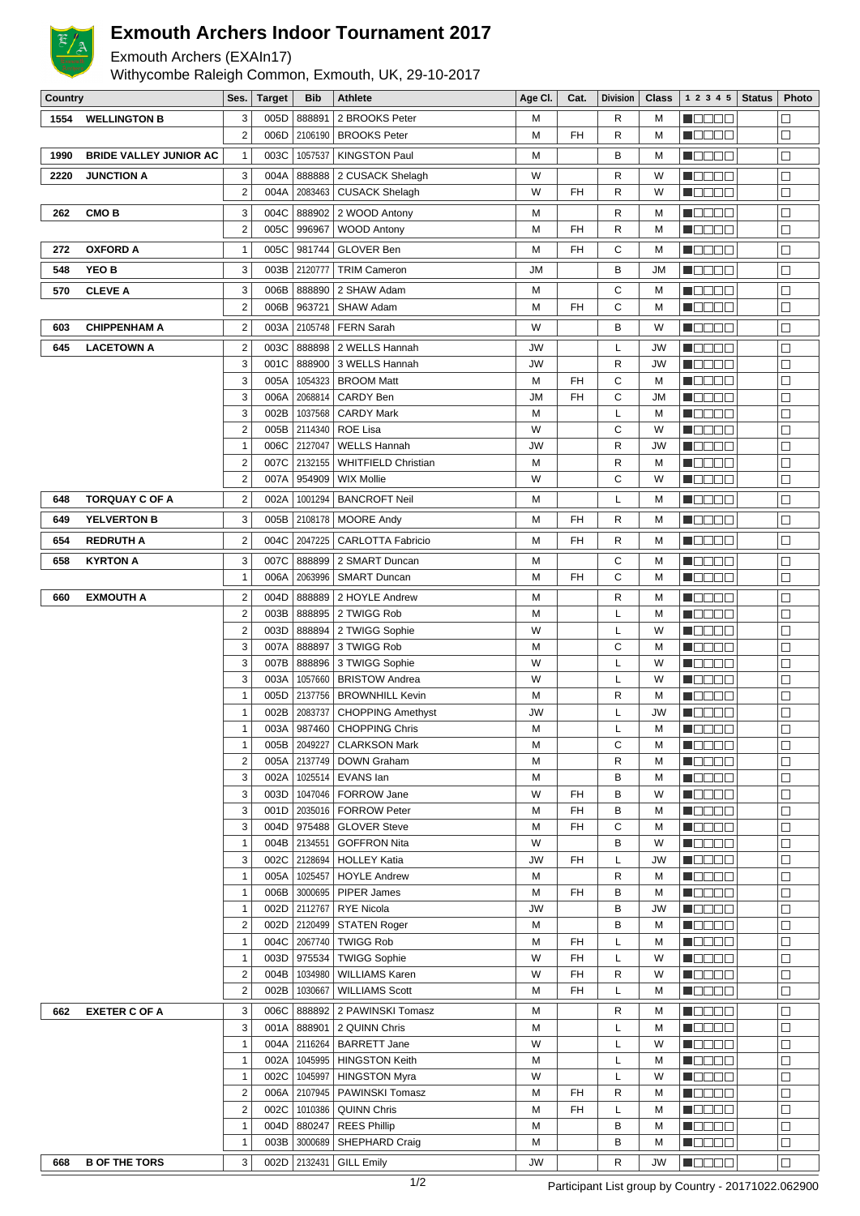

## **Exmouth Archers Indoor Tournament 2017**

Exmouth Archers (EXAIn17)

Withycombe Raleigh Common, Exmouth, UK, 29-10-2017

| Country |                               | Ses.                    | <b>Target</b> | Bib                | <b>Athlete</b>                             | Age Cl.   | Cat. | <b>Division</b> | Class   | 1 2 3 4 5                                                   | <b>Status</b> | Photo            |
|---------|-------------------------------|-------------------------|---------------|--------------------|--------------------------------------------|-----------|------|-----------------|---------|-------------------------------------------------------------|---------------|------------------|
| 1554    | <b>WELLINGTON B</b>           | 3                       | 005D          | 888891             | 2 BROOKS Peter                             | M         |      | R               | М       | n de Ele                                                    |               | $\Box$           |
|         |                               | $\overline{2}$          | 006D          | 2106190            | <b>BROOKS Peter</b>                        | M         | FH   | R               | М       | n Booo                                                      |               | $\Box$           |
| 1990    | <b>BRIDE VALLEY JUNIOR AC</b> | $\mathbf{1}$            | 003C          | 1057537            | <b>KINGSTON Paul</b>                       | M         |      | B               | M       | M OO OO                                                     |               | □                |
| 2220    | <b>JUNCTION A</b>             | 3                       | 004A          | 888888             | 2 CUSACK Shelagh                           | W         |      | R               | W       | n de de                                                     |               | $\Box$           |
|         |                               | $\boldsymbol{2}$        | 004A          | 2083463            | <b>CUSACK Shelagh</b>                      | W         | FH   | R               | W       | Maaaa                                                       |               | $\Box$           |
|         |                               |                         |               |                    |                                            |           |      |                 |         |                                                             |               |                  |
| 262     | CMO <sub>B</sub>              | 3                       | 004C          | 888902             | 2 WOOD Antony                              | M         |      | R               | М       | e de e e                                                    |               | $\Box$           |
|         |                               | $\overline{2}$          | 005C          | 996967             | <b>WOOD Antony</b>                         | M         | FH   | R               | М       | Manaa                                                       |               | $\Box$           |
| 272     | <b>OXFORD A</b>               | $\mathbf{1}$            | 005C          | 981744             | <b>GLOVER Ben</b>                          | M         | FH   | С               | М       | <u>Macao</u>                                                |               | $\Box$           |
| 548     | YEO B                         | 3                       | 003B          | 2120777            | <b>TRIM Cameron</b>                        | JM        |      | В               | JM      | <b>MODOO</b>                                                |               | $\Box$           |
| 570     | <b>CLEVE A</b>                | 3                       | 006B          | 888890             | 2 SHAW Adam                                | M         |      | С               | М       | n de de                                                     |               | $\Box$           |
|         |                               | $\overline{2}$          | 006B          | 963721             | SHAW Adam                                  | M         | FH   | C               | M       | M OO O O                                                    |               | $\Box$           |
| 603     | <b>CHIPPENHAM A</b>           | $\boldsymbol{2}$        | 003A          | 2105748            | <b>FERN Sarah</b>                          | W         |      | B               | W       | <b>H</b> OOOO                                               |               | □                |
|         |                               |                         |               |                    |                                            |           |      |                 |         |                                                             |               |                  |
| 645     | <b>LACETOWN A</b>             | $\boldsymbol{2}$        | 003C          | 888898<br>888900   | 2 WELLS Hannah                             | <b>JW</b> |      | Г               | JW      | n Booo                                                      |               | $\Box$<br>$\Box$ |
|         |                               | 3<br>3                  | 001C<br>005A  | 1054323            | 3 WELLS Hannah<br><b>BROOM Matt</b>        | JW<br>M   | FH   | R<br>С          | JW<br>M | n de se<br>Maaaa                                            |               | $\Box$           |
|         |                               | 3                       | 006A          | 2068814            | CARDY Ben                                  | <b>JM</b> | FH   | C               | JM      | MOOOO                                                       |               | □                |
|         |                               | 3                       | 002B          | 1037568            | <b>CARDY Mark</b>                          | M         |      | L               | M       | n da an                                                     |               | $\Box$           |
|         |                               | $\overline{2}$          |               | 005B 2114340       | ROE Lisa                                   | W         |      | C               | W       | N DE SE                                                     |               | $\Box$           |
|         |                               | 1                       | 006C          | 2127047            | <b>WELLS Hannah</b>                        | JW        |      | R               | JW      | n de sa                                                     |               | $\Box$           |
|         |                               | $\overline{2}$          | 007C          | 2132155            | <b>WHITFIELD Christian</b>                 | M         |      | R               | M       | N BE BE                                                     |               | □                |
|         |                               | $\overline{2}$          | 007A          | 954909             | <b>WIX Mollie</b>                          | W         |      | C               | W       | N DE BE                                                     |               | $\Box$           |
| 648     | <b>TORQUAY C OF A</b>         | $\overline{\mathbf{c}}$ | 002A          | 1001294            | <b>BANCROFT Neil</b>                       | M         |      | Г               | M       | $\blacksquare$ $\blacksquare$ $\blacksquare$ $\blacksquare$ |               | □                |
|         |                               |                         |               |                    |                                            |           |      |                 |         |                                                             |               |                  |
| 649     | <b>YELVERTON B</b>            | 3                       | 005B          | 2108178            | <b>MOORE Andy</b>                          | M         | FH   | R               | М       | M OO OO                                                     |               | $\Box$           |
| 654     | <b>REDRUTH A</b>              | $\overline{\mathbf{c}}$ | 004C          | 2047225            | <b>CARLOTTA Fabricio</b>                   | M         | FH   | R               | М       | M O O O O                                                   |               | $\Box$           |
| 658     | <b>KYRTON A</b>               | 3                       | 007C          | 888899             | 2 SMART Duncan                             | M         |      | С               | М       | n de ele                                                    |               | $\Box$           |
|         |                               | 1                       | 006A          | 2063996            | <b>SMART Duncan</b>                        | M         | FH   | C               | М       | <u>Macao</u>                                                |               | $\Box$           |
| 660     | <b>EXMOUTH A</b>              | $\overline{2}$          | 004D          | 888889             | 2 HOYLE Andrew                             | M         |      | R               | M       | N DE SE                                                     |               | $\Box$           |
|         |                               | $\overline{c}$          | 003B          | 888895             | 2 TWIGG Rob                                | M         |      | L               | М       | M E E E E                                                   |               | $\Box$           |
|         |                               | $\overline{2}$          | 003D          | 888894             | 2 TWIGG Sophie                             | W         |      | L               | W       | M O O O O                                                   |               | $\Box$           |
|         |                               | 3                       | 007A          | 888897             | 3 TWIGG Rob                                | M         |      | C               | M       | N DE SE                                                     |               | $\Box$           |
|         |                               | 3                       | 007B          | 888896             | 3 TWIGG Sophie                             | W         |      | L               | W       | <u>Li vidi v</u>                                            |               | $\Box$           |
|         |                               | 3                       | 003A          | 1057660            | <b>BRISTOW Andrea</b>                      | W         |      | L               | W       | M E E E E                                                   |               | $\Box$           |
|         |                               | $\mathbf{1}$            | 005D          | 2137756            | <b>BROWNHILL Kevin</b>                     | M         |      | $\mathsf{R}$    | М       | M O O O O                                                   |               | □                |
|         |                               | 1                       | 002B          | 2083737            | <b>CHOPPING Amethyst</b>                   | JW        |      | L               | JW      | N DE BE                                                     |               | □                |
|         |                               | 1                       | 003A          | 987460             | <b>CHOPPING Chris</b>                      | M         |      | L               | М       | n de se                                                     |               | $\Box$           |
|         |                               | 1                       |               |                    | 005B   2049227   CLARKSON Mark             | M         |      | С               | M       | M OO OO                                                     |               | ⊔                |
|         |                               | $\overline{\mathbf{c}}$ | 005A          | 2137749            | <b>DOWN Graham</b>                         | M         |      | R               | М       | M O O O O                                                   |               | □                |
|         |                               | 3                       | 002A          | 1025514            | EVANS lan                                  | M         |      | В               | M       | <b>Manaa</b>                                                |               | $\Box$           |
|         |                               | 3                       | 003D          | 1047046            | FORROW Jane                                | W         | FH   | В               | W       | N BE E E                                                    |               | $\Box$           |
|         |                               | 3                       |               | 001D 2035016       | <b>FORROW Peter</b>                        | M         | FH   | B               | М       | M O O O O<br>n Beec                                         |               | □                |
|         |                               | 3                       | 004D          | 975488             | <b>GLOVER Steve</b>                        | M<br>W    | FH   | С<br>B          | М       |                                                             |               | □                |
|         |                               | 1<br>3                  | 004B<br>002C  | 2134551<br>2128694 | <b>GOFFRON Nita</b><br><b>HOLLEY Katia</b> | JW        | FH   | L               | W<br>JW | N O D O O<br>n de de                                        |               | $\Box$<br>$\Box$ |
|         |                               | 1                       | 005A          | 1025457            | <b>HOYLE Andrew</b>                        | M         |      | R               | м       | M O O O O                                                   |               | $\Box$           |
|         |                               | 1                       | 006B          | 3000695            | PIPER James                                | M         | FH   | в               | М       | MOOOC                                                       |               | □                |
|         |                               | 1                       | 002D          | 2112767            | RYE Nicola                                 | JW        |      | В               | JW      | N DE SE                                                     |               | $\Box$           |
|         |                               | $\overline{2}$          |               | 002D 2120499       | <b>STATEN Roger</b>                        | M         |      | В               | M       | N OB 80                                                     |               | □                |
|         |                               | $\mathbf{1}$            |               | 004C 2067740       | <b>TWIGG Rob</b>                           | M         | FH   | L               | M       | N O O O O                                                   |               | □                |
|         |                               | $\mathbf{1}$            | 003D          | 975534             | <b>TWIGG Sophie</b>                        | W         | FH   | L               | W       | M O O O O                                                   |               | □                |
|         |                               | 2                       | 004B          | 1034980            | <b>WILLIAMS Karen</b>                      | W         | FH   | R               | W       | <b>M</b> OOOO                                               |               | $\Box$           |
|         |                               | $\overline{\mathbf{c}}$ | 002B          | 1030667            | <b>WILLIAMS Scott</b>                      | M         | FH   | Г               | М       | $\blacksquare$ $\square$ $\square$ $\square$                |               | $\Box$           |
| 662     | <b>EXETER C OF A</b>          | 3                       | 006C          |                    | 888892 2 PAWINSKI Tomasz                   | M         |      | R               | M       | <b>N</b> OOOO                                               |               | $\Box$           |
|         |                               | 3                       | 001A          | 888901             | 2 QUINN Chris                              | M         |      | Г               | M       | N DE SE                                                     |               | $\Box$           |
|         |                               | 1                       | 004A          | 2116264            | <b>BARRETT Jane</b>                        | W         |      | L               | W       | M O O O O                                                   |               | □                |
|         |                               | $\mathbf{1}$            | 002A          | 1045995            | <b>HINGSTON Keith</b>                      | M         |      | L               | M       | NOOOO                                                       |               | □                |
|         |                               | 1                       | 002C          | 1045997            | <b>HINGSTON Myra</b>                       | W         |      | L               | W       | N O D O O                                                   |               | $\Box$           |
|         |                               | 2                       | 006A          | 2107945            | PAWINSKI Tomasz                            | M         | FH   | R               | M       | N DE DE                                                     |               | $\Box$           |
|         |                               | $\mathbf 2$             | 002C          | 1010386            | <b>QUINN Chris</b>                         | M         | FH   | L               | М       | Maaaa                                                       |               | $\Box$           |
|         |                               | $\mathbf{1}$            | 004D          | 880247             | <b>REES Phillip</b>                        | M         |      | в               | M       | M O O O O                                                   |               | □                |
|         |                               | $\mathbf{1}$            | 003B          | 3000689            | SHEPHARD Craig                             | M         |      | В               | М       | M O D O O                                                   |               | $\Box$           |
| 668     | <b>B OF THE TORS</b>          | 3                       |               | 002D 2132431       | <b>GILL Emily</b>                          | JW        |      | R               | JW      | HOOOO                                                       |               | $\Box$           |